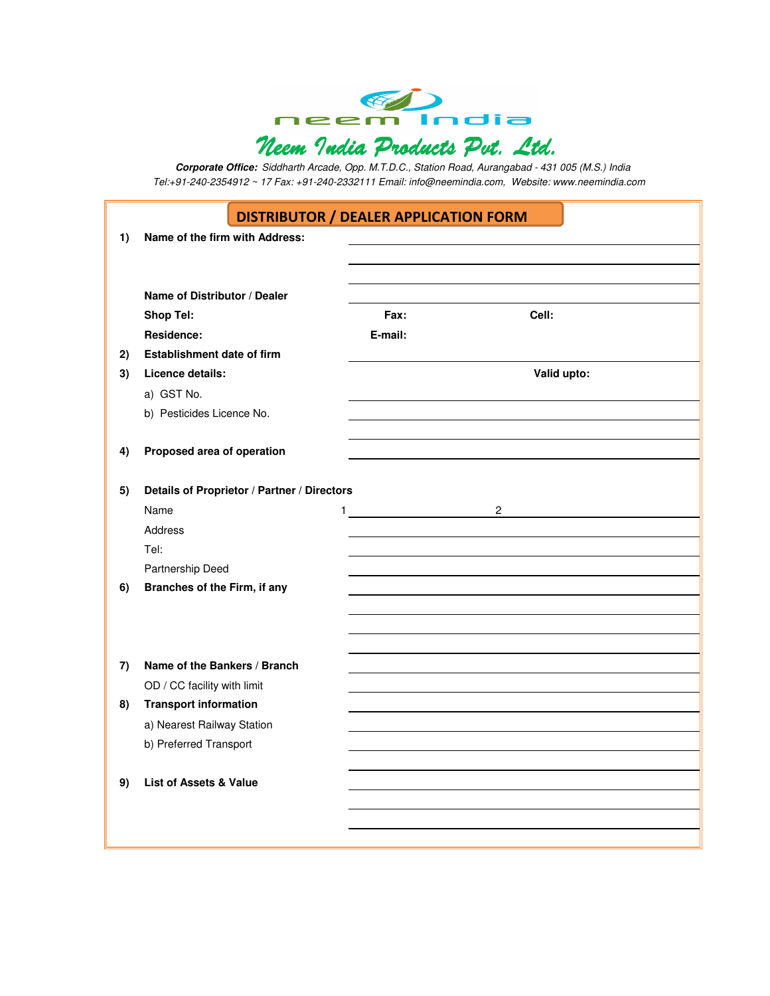

**Corporate Office:** Siddharth Arcade, Opp. M.T.D.C., Station Road, Aurangabad - 431 005 (M.S.) India Tel:+91-240-2354912 ~ 17 Fax: +91-240-2332111 Email: info@neemindia.com, Website: www.neemindia.com

## DISTRIBUTOR / DEALER APPLICATION FORM

| 1) | Name of the firm with Address:                              |                                |                   |
|----|-------------------------------------------------------------|--------------------------------|-------------------|
|    |                                                             |                                |                   |
|    |                                                             |                                |                   |
|    | Name of Distributor / Dealer                                |                                |                   |
|    | <b>Shop Tel:</b>                                            | Fax:                           | Cell:             |
|    | Residence:                                                  | E-mail:                        |                   |
| 2) | Establishment date of firm                                  |                                |                   |
| 3) | Licence details:                                            |                                | Valid upto:       |
|    | a) GST No.                                                  |                                |                   |
|    | b) Pesticides Licence No.                                   |                                |                   |
|    |                                                             |                                |                   |
| 4) | Proposed area of operation                                  |                                |                   |
|    |                                                             |                                |                   |
| 5) | Details of Proprietor / Partner / Directors                 |                                |                   |
|    | Name                                                        | $1$ <u>___________________</u> | 2 $\qquad \qquad$ |
|    | Address                                                     |                                |                   |
|    | Tel:                                                        |                                |                   |
|    | Partnership Deed                                            |                                |                   |
| 6) | Branches of the Firm, if any                                |                                |                   |
|    |                                                             |                                |                   |
|    |                                                             |                                |                   |
|    | Name of the Bankers / Branch                                |                                |                   |
| 7) |                                                             |                                |                   |
| 8) | OD / CC facility with limit<br><b>Transport information</b> |                                |                   |
|    | a) Nearest Railway Station                                  |                                |                   |
|    | b) Preferred Transport                                      |                                |                   |
|    |                                                             |                                |                   |
| 9) | <b>List of Assets &amp; Value</b>                           |                                |                   |
|    |                                                             |                                |                   |
|    |                                                             |                                |                   |
|    |                                                             |                                |                   |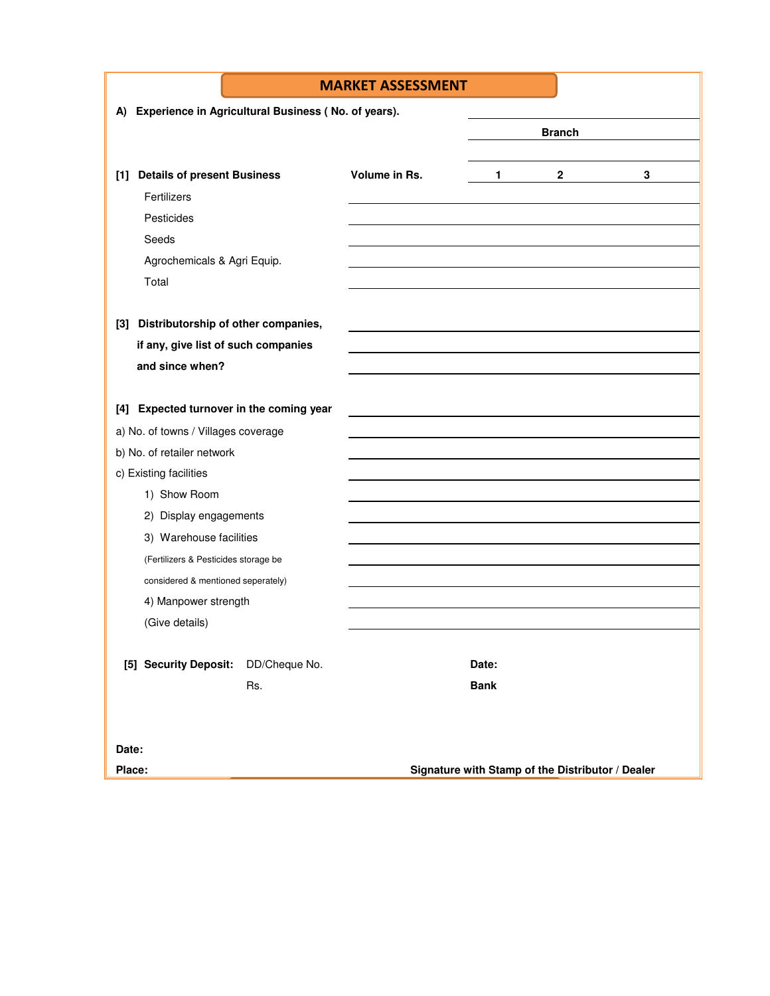|                                                           |     | <b>MARKET ASSESSMENT</b> |                                                  |                |   |  |  |  |  |
|-----------------------------------------------------------|-----|--------------------------|--------------------------------------------------|----------------|---|--|--|--|--|
| Experience in Agricultural Business (No. of years).<br>A) |     |                          |                                                  |                |   |  |  |  |  |
|                                                           |     |                          |                                                  | <b>Branch</b>  |   |  |  |  |  |
|                                                           |     |                          |                                                  |                |   |  |  |  |  |
| <b>Details of present Business</b><br>$[1]$               |     | Volume in Rs.            | 1                                                | $\overline{2}$ | 3 |  |  |  |  |
| Fertilizers                                               |     |                          |                                                  |                |   |  |  |  |  |
| Pesticides                                                |     |                          |                                                  |                |   |  |  |  |  |
| Seeds                                                     |     |                          |                                                  |                |   |  |  |  |  |
| Agrochemicals & Agri Equip.                               |     |                          |                                                  |                |   |  |  |  |  |
| Total                                                     |     |                          |                                                  |                |   |  |  |  |  |
|                                                           |     |                          |                                                  |                |   |  |  |  |  |
| Distributorship of other companies,<br>$[3]$              |     |                          |                                                  |                |   |  |  |  |  |
| if any, give list of such companies                       |     |                          |                                                  |                |   |  |  |  |  |
| and since when?                                           |     |                          |                                                  |                |   |  |  |  |  |
|                                                           |     |                          |                                                  |                |   |  |  |  |  |
| <b>Expected turnover in the coming year</b><br>[4]        |     |                          |                                                  |                |   |  |  |  |  |
| a) No. of towns / Villages coverage                       |     |                          |                                                  |                |   |  |  |  |  |
| b) No. of retailer network                                |     |                          |                                                  |                |   |  |  |  |  |
| c) Existing facilities                                    |     |                          |                                                  |                |   |  |  |  |  |
| 1) Show Room                                              |     |                          |                                                  |                |   |  |  |  |  |
| 2) Display engagements                                    |     |                          |                                                  |                |   |  |  |  |  |
| 3) Warehouse facilities                                   |     |                          |                                                  |                |   |  |  |  |  |
| (Fertilizers & Pesticides storage be                      |     |                          |                                                  |                |   |  |  |  |  |
| considered & mentioned seperately)                        |     |                          |                                                  |                |   |  |  |  |  |
| 4) Manpower strength                                      |     |                          |                                                  |                |   |  |  |  |  |
| (Give details)                                            |     |                          |                                                  |                |   |  |  |  |  |
|                                                           |     |                          |                                                  |                |   |  |  |  |  |
| [5] Security Deposit: DD/Cheque No.                       |     |                          | Date:                                            |                |   |  |  |  |  |
|                                                           | Rs. |                          | <b>Bank</b>                                      |                |   |  |  |  |  |
|                                                           |     |                          |                                                  |                |   |  |  |  |  |
|                                                           |     |                          |                                                  |                |   |  |  |  |  |
| Date:                                                     |     |                          |                                                  |                |   |  |  |  |  |
| Place:                                                    |     |                          | Signature with Stamp of the Distributor / Dealer |                |   |  |  |  |  |